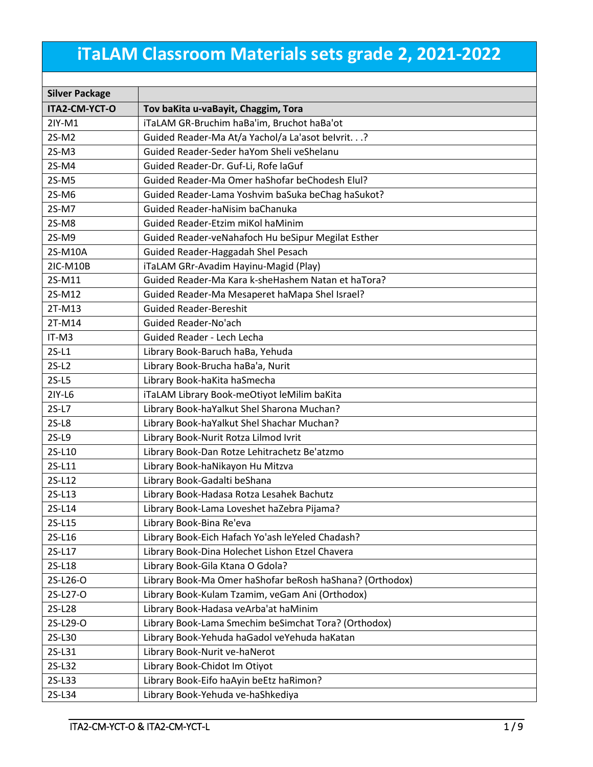## **iTaLAM Classroom Materials sets grade 2, 2021-2022**

| <b>Silver Package</b> |                                                          |  |  |
|-----------------------|----------------------------------------------------------|--|--|
| ITA2-CM-YCT-O         | Tov baKita u-vaBayit, Chaggim, Tora                      |  |  |
| 2IY-M1                | iTaLAM GR-Bruchim haBa'im, Bruchot haBa'ot               |  |  |
| 2S-M2                 | Guided Reader-Ma At/a Yachol/a La'asot belvrit.?         |  |  |
| $2S-M3$               | Guided Reader-Seder haYom Sheli veShelanu                |  |  |
| 2S-M4                 | Guided Reader-Dr. Guf-Li, Rofe laGuf                     |  |  |
| $2S-M5$               | Guided Reader-Ma Omer haShofar beChodesh Elul?           |  |  |
| 2S-M6                 | Guided Reader-Lama Yoshvim baSuka beChag haSukot?        |  |  |
| 2S-M7                 | Guided Reader-haNisim baChanuka                          |  |  |
| 2S-M8                 | Guided Reader-Etzim miKol haMinim                        |  |  |
| 2S-M9                 | Guided Reader-veNahafoch Hu beSipur Megilat Esther       |  |  |
| 2S-M10A               | Guided Reader-Haggadah Shel Pesach                       |  |  |
| 2IC-M10B              | iTaLAM GRr-Avadim Hayinu-Magid (Play)                    |  |  |
| 2S-M11                | Guided Reader-Ma Kara k-sheHashem Natan et haTora?       |  |  |
| 2S-M12                | Guided Reader-Ma Mesaperet haMapa Shel Israel?           |  |  |
| 2T-M13                | <b>Guided Reader-Bereshit</b>                            |  |  |
| 2T-M14                | Guided Reader-No'ach                                     |  |  |
| IT-M3                 | Guided Reader - Lech Lecha                               |  |  |
| $2S-L1$               | Library Book-Baruch haBa, Yehuda                         |  |  |
| $2S-L2$               | Library Book-Brucha haBa'a, Nurit                        |  |  |
| $2S-L5$               | Library Book-haKita haSmecha                             |  |  |
| 2IY-L6                | iTaLAM Library Book-meOtiyot leMilim baKita              |  |  |
| $2S-L7$               | Library Book-haYalkut Shel Sharona Muchan?               |  |  |
| $2S-L8$               | Library Book-haYalkut Shel Shachar Muchan?               |  |  |
| $2S-L9$               | Library Book-Nurit Rotza Lilmod Ivrit                    |  |  |
| 2S-L10                | Library Book-Dan Rotze Lehitrachetz Be'atzmo             |  |  |
| 2S-L11                | Library Book-haNikayon Hu Mitzva                         |  |  |
| 2S-L12                | Library Book-Gadalti beShana                             |  |  |
| 2S-L13                | Library Book-Hadasa Rotza Lesahek Bachutz                |  |  |
| 2S-L14                | Library Book-Lama Loveshet haZebra Pijama?               |  |  |
| 2S-L15                | Library Book-Bina Re'eva                                 |  |  |
| 2S-L16                | Library Book-Eich Hafach Yo'ash leYeled Chadash?         |  |  |
| 2S-L17                | Library Book-Dina Holechet Lishon Etzel Chavera          |  |  |
| 2S-L18                | Library Book-Gila Ktana O Gdola?                         |  |  |
| 2S-L26-O              | Library Book-Ma Omer haShofar beRosh haShana? (Orthodox) |  |  |
| 2S-L27-O              | Library Book-Kulam Tzamim, veGam Ani (Orthodox)          |  |  |
| 2S-L28                | Library Book-Hadasa veArba'at haMinim                    |  |  |
| 2S-L29-O              | Library Book-Lama Smechim beSimchat Tora? (Orthodox)     |  |  |
| 2S-L30                | Library Book-Yehuda haGadol veYehuda haKatan             |  |  |
| 2S-L31                | Library Book-Nurit ve-haNerot                            |  |  |
| 2S-L32                | Library Book-Chidot Im Otiyot                            |  |  |
| 2S-L33                | Library Book-Eifo haAyin beEtz haRimon?                  |  |  |
| 2S-L34                | Library Book-Yehuda ve-haShkediya                        |  |  |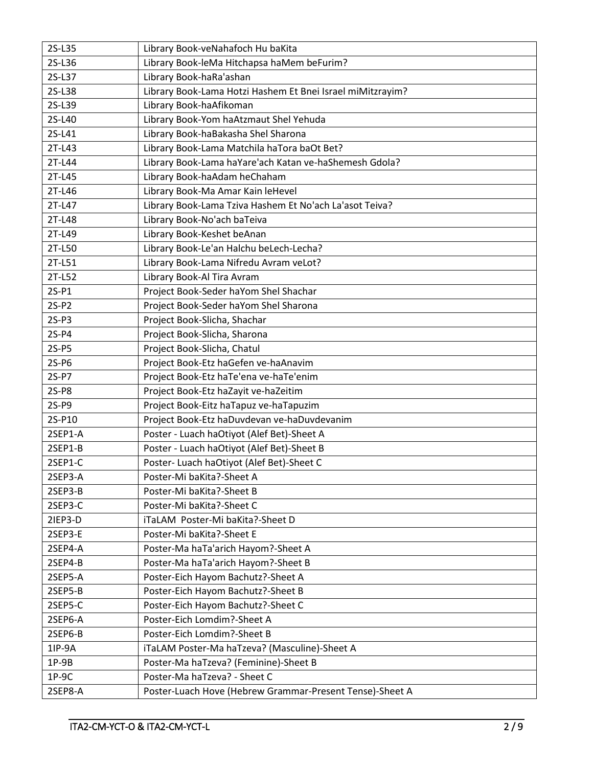| 2S-L35  | Library Book-veNahafoch Hu baKita                          |  |  |
|---------|------------------------------------------------------------|--|--|
| 2S-L36  | Library Book-leMa Hitchapsa haMem beFurim?                 |  |  |
| 2S-L37  | Library Book-haRa'ashan                                    |  |  |
| 2S-L38  | Library Book-Lama Hotzi Hashem Et Bnei Israel miMitzrayim? |  |  |
| 2S-L39  | Library Book-haAfikoman                                    |  |  |
| 2S-L40  | Library Book-Yom haAtzmaut Shel Yehuda                     |  |  |
| 2S-L41  | Library Book-haBakasha Shel Sharona                        |  |  |
| 2T-L43  | Library Book-Lama Matchila haTora baOt Bet?                |  |  |
| 2T-L44  | Library Book-Lama haYare'ach Katan ve-haShemesh Gdola?     |  |  |
| 2T-L45  | Library Book-haAdam heChaham                               |  |  |
| 2T-L46  | Library Book-Ma Amar Kain leHevel                          |  |  |
| 2T-L47  | Library Book-Lama Tziva Hashem Et No'ach La'asot Teiva?    |  |  |
| 2T-L48  | Library Book-No'ach baTeiva                                |  |  |
| 2T-L49  | Library Book-Keshet beAnan                                 |  |  |
| 2T-L50  | Library Book-Le'an Halchu beLech-Lecha?                    |  |  |
| 2T-L51  | Library Book-Lama Nifredu Avram veLot?                     |  |  |
| 2T-L52  | Library Book-Al Tira Avram                                 |  |  |
| $2S-P1$ | Project Book-Seder haYom Shel Shachar                      |  |  |
| $2S-P2$ | Project Book-Seder haYom Shel Sharona                      |  |  |
| $2S-P3$ | Project Book-Slicha, Shachar                               |  |  |
| $2S-P4$ | Project Book-Slicha, Sharona                               |  |  |
| $2S-P5$ | Project Book-Slicha, Chatul                                |  |  |
| $2S-PG$ | Project Book-Etz haGefen ve-haAnavim                       |  |  |
| 2S-P7   | Project Book-Etz haTe'ena ve-haTe'enim                     |  |  |
| 2S-P8   | Project Book-Etz haZayit ve-haZeitim                       |  |  |
| 2S-P9   | Project Book-Eitz haTapuz ve-haTapuzim                     |  |  |
| 2S-P10  | Project Book-Etz haDuvdevan ve-haDuvdevanim                |  |  |
| 2SEP1-A | Poster - Luach haOtiyot (Alef Bet)-Sheet A                 |  |  |
| 2SEP1-B | Poster - Luach haOtiyot (Alef Bet)-Sheet B                 |  |  |
| 2SEP1-C | Poster- Luach haOtiyot (Alef Bet)-Sheet C                  |  |  |
| 2SEP3-A | Poster-Mi baKita?-Sheet A                                  |  |  |
| 2SEP3-B | Poster-Mi baKita?-Sheet B                                  |  |  |
| 2SEP3-C | Poster-Mi baKita?-Sheet C                                  |  |  |
| 2IEP3-D | iTaLAM Poster-Mi baKita?-Sheet D                           |  |  |
| 2SEP3-E | Poster-Mi baKita?-Sheet E                                  |  |  |
| 2SEP4-A | Poster-Ma haTa'arich Hayom?-Sheet A                        |  |  |
| 2SEP4-B | Poster-Ma haTa'arich Hayom?-Sheet B                        |  |  |
| 2SEP5-A | Poster-Eich Hayom Bachutz?-Sheet A                         |  |  |
| 2SEP5-B | Poster-Eich Hayom Bachutz?-Sheet B                         |  |  |
| 2SEP5-C | Poster-Eich Hayom Bachutz?-Sheet C                         |  |  |
| 2SEP6-A | Poster-Eich Lomdim?-Sheet A                                |  |  |
| 2SEP6-B | Poster-Eich Lomdim?-Sheet B                                |  |  |
| 1IP-9A  | iTaLAM Poster-Ma haTzeva? (Masculine)-Sheet A              |  |  |
| $1P-9B$ | Poster-Ma haTzeva? (Feminine)-Sheet B                      |  |  |
| $1P-9C$ | Poster-Ma haTzeva? - Sheet C                               |  |  |
| 2SEP8-A | Poster-Luach Hove (Hebrew Grammar-Present Tense)-Sheet A   |  |  |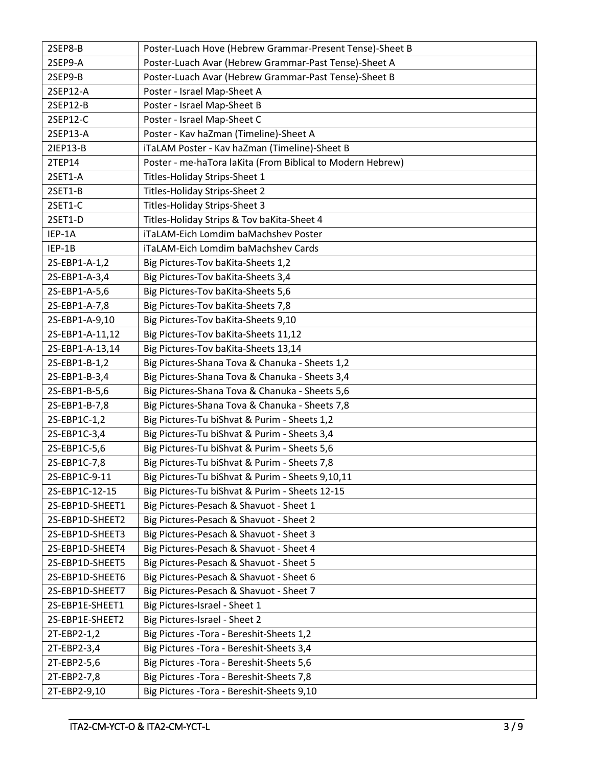| 2SEP8-B         | Poster-Luach Hove (Hebrew Grammar-Present Tense)-Sheet B   |
|-----------------|------------------------------------------------------------|
| 2SEP9-A         | Poster-Luach Avar (Hebrew Grammar-Past Tense)-Sheet A      |
| 2SEP9-B         | Poster-Luach Avar (Hebrew Grammar-Past Tense)-Sheet B      |
| 2SEP12-A        | Poster - Israel Map-Sheet A                                |
| 2SEP12-B        | Poster - Israel Map-Sheet B                                |
| 2SEP12-C        | Poster - Israel Map-Sheet C                                |
| 2SEP13-A        | Poster - Kav haZman (Timeline)-Sheet A                     |
| 21EP13-B        | iTaLAM Poster - Kav haZman (Timeline)-Sheet B              |
| 2TEP14          | Poster - me-haTora laKita (From Biblical to Modern Hebrew) |
| 2SET1-A         | Titles-Holiday Strips-Sheet 1                              |
| 2SET1-B         | Titles-Holiday Strips-Sheet 2                              |
| 2SET1-C         | Titles-Holiday Strips-Sheet 3                              |
| 2SET1-D         | Titles-Holiday Strips & Tov baKita-Sheet 4                 |
| IEP-1A          | iTaLAM-Eich Lomdim baMachshev Poster                       |
| IEP-1B          | iTaLAM-Eich Lomdim baMachshev Cards                        |
| 2S-EBP1-A-1,2   | Big Pictures-Tov baKita-Sheets 1,2                         |
| 2S-EBP1-A-3,4   | Big Pictures-Tov baKita-Sheets 3,4                         |
| 2S-EBP1-A-5,6   | Big Pictures-Tov baKita-Sheets 5,6                         |
| 2S-EBP1-A-7,8   | Big Pictures-Tov baKita-Sheets 7,8                         |
| 2S-EBP1-A-9,10  | Big Pictures-Tov baKita-Sheets 9,10                        |
| 2S-EBP1-A-11,12 | Big Pictures-Tov baKita-Sheets 11,12                       |
| 2S-EBP1-A-13,14 | Big Pictures-Tov baKita-Sheets 13,14                       |
| 2S-EBP1-B-1,2   | Big Pictures-Shana Tova & Chanuka - Sheets 1,2             |
| 2S-EBP1-B-3,4   | Big Pictures-Shana Tova & Chanuka - Sheets 3,4             |
| 2S-EBP1-B-5,6   | Big Pictures-Shana Tova & Chanuka - Sheets 5,6             |
| 2S-EBP1-B-7,8   | Big Pictures-Shana Tova & Chanuka - Sheets 7,8             |
| 2S-EBP1C-1,2    | Big Pictures-Tu biShvat & Purim - Sheets 1,2               |
| 2S-EBP1C-3,4    | Big Pictures-Tu biShvat & Purim - Sheets 3,4               |
| 2S-EBP1C-5,6    | Big Pictures-Tu biShvat & Purim - Sheets 5,6               |
| 2S-EBP1C-7,8    | Big Pictures-Tu biShvat & Purim - Sheets 7,8               |
| 2S-EBP1C-9-11   | Big Pictures-Tu biShvat & Purim - Sheets 9,10,11           |
| 2S-EBP1C-12-15  | Big Pictures-Tu biShvat & Purim - Sheets 12-15             |
| 2S-EBP1D-SHEET1 | Big Pictures-Pesach & Shavuot - Sheet 1                    |
| 2S-EBP1D-SHEET2 | Big Pictures-Pesach & Shavuot - Sheet 2                    |
| 2S-EBP1D-SHEET3 | Big Pictures-Pesach & Shavuot - Sheet 3                    |
| 2S-EBP1D-SHEET4 | Big Pictures-Pesach & Shavuot - Sheet 4                    |
| 2S-EBP1D-SHEET5 | Big Pictures-Pesach & Shavuot - Sheet 5                    |
| 2S-EBP1D-SHEET6 | Big Pictures-Pesach & Shavuot - Sheet 6                    |
| 2S-EBP1D-SHEET7 | Big Pictures-Pesach & Shavuot - Sheet 7                    |
| 2S-EBP1E-SHEET1 | Big Pictures-Israel - Sheet 1                              |
| 2S-EBP1E-SHEET2 | Big Pictures-Israel - Sheet 2                              |
| 2T-EBP2-1,2     | Big Pictures - Tora - Bereshit-Sheets 1,2                  |
| 2T-EBP2-3,4     | Big Pictures - Tora - Bereshit-Sheets 3,4                  |
| 2T-EBP2-5,6     | Big Pictures - Tora - Bereshit-Sheets 5,6                  |
| 2T-EBP2-7,8     | Big Pictures - Tora - Bereshit-Sheets 7,8                  |
| 2T-EBP2-9,10    | Big Pictures - Tora - Bereshit-Sheets 9,10                 |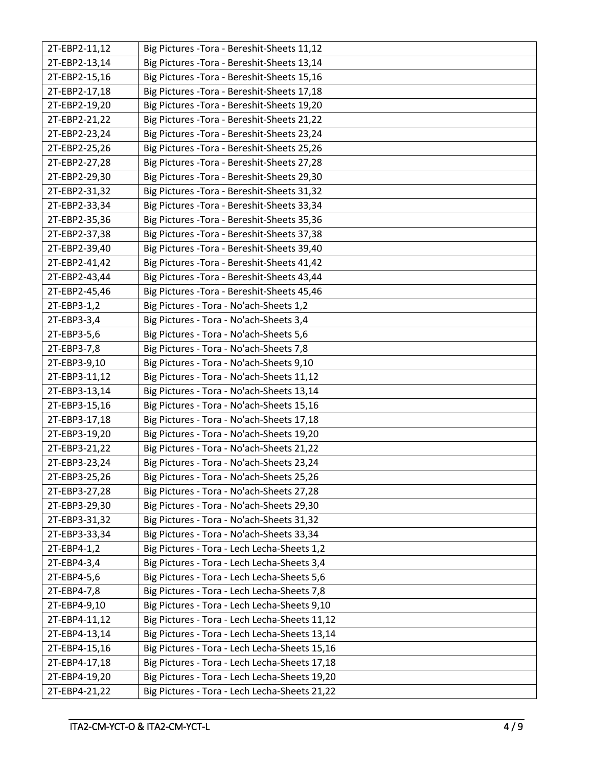| 2T-EBP2-11,12 | Big Pictures - Tora - Bereshit-Sheets 11,12   |
|---------------|-----------------------------------------------|
| 2T-EBP2-13,14 | Big Pictures - Tora - Bereshit-Sheets 13,14   |
| 2T-EBP2-15,16 | Big Pictures - Tora - Bereshit-Sheets 15,16   |
| 2T-EBP2-17,18 | Big Pictures - Tora - Bereshit-Sheets 17,18   |
| 2T-EBP2-19,20 | Big Pictures - Tora - Bereshit-Sheets 19,20   |
| 2T-EBP2-21,22 | Big Pictures - Tora - Bereshit-Sheets 21,22   |
| 2T-EBP2-23,24 | Big Pictures - Tora - Bereshit-Sheets 23,24   |
| 2T-EBP2-25,26 | Big Pictures - Tora - Bereshit-Sheets 25,26   |
| 2T-EBP2-27,28 | Big Pictures - Tora - Bereshit-Sheets 27,28   |
| 2T-EBP2-29,30 | Big Pictures - Tora - Bereshit-Sheets 29,30   |
| 2T-EBP2-31,32 | Big Pictures - Tora - Bereshit-Sheets 31,32   |
| 2T-EBP2-33,34 | Big Pictures - Tora - Bereshit-Sheets 33,34   |
| 2T-EBP2-35,36 | Big Pictures - Tora - Bereshit-Sheets 35,36   |
| 2T-EBP2-37,38 | Big Pictures - Tora - Bereshit-Sheets 37,38   |
| 2T-EBP2-39,40 | Big Pictures - Tora - Bereshit-Sheets 39,40   |
| 2T-EBP2-41,42 | Big Pictures - Tora - Bereshit-Sheets 41,42   |
| 2T-EBP2-43,44 | Big Pictures - Tora - Bereshit-Sheets 43,44   |
| 2T-EBP2-45,46 | Big Pictures - Tora - Bereshit-Sheets 45,46   |
| 2T-EBP3-1,2   | Big Pictures - Tora - No'ach-Sheets 1,2       |
| 2T-EBP3-3,4   | Big Pictures - Tora - No'ach-Sheets 3,4       |
| 2T-EBP3-5,6   | Big Pictures - Tora - No'ach-Sheets 5,6       |
| 2T-EBP3-7,8   | Big Pictures - Tora - No'ach-Sheets 7,8       |
| 2T-EBP3-9,10  | Big Pictures - Tora - No'ach-Sheets 9,10      |
| 2T-EBP3-11,12 | Big Pictures - Tora - No'ach-Sheets 11,12     |
| 2T-EBP3-13,14 | Big Pictures - Tora - No'ach-Sheets 13,14     |
| 2T-EBP3-15,16 | Big Pictures - Tora - No'ach-Sheets 15,16     |
| 2T-EBP3-17,18 | Big Pictures - Tora - No'ach-Sheets 17,18     |
| 2T-EBP3-19,20 | Big Pictures - Tora - No'ach-Sheets 19,20     |
| 2T-EBP3-21,22 | Big Pictures - Tora - No'ach-Sheets 21,22     |
| 2T-EBP3-23,24 | Big Pictures - Tora - No'ach-Sheets 23,24     |
| 2T-EBP3-25,26 | Big Pictures - Tora - No'ach-Sheets 25,26     |
| 2T-EBP3-27,28 | Big Pictures - Tora - No'ach-Sheets 27,28     |
| 2T-EBP3-29,30 | Big Pictures - Tora - No'ach-Sheets 29,30     |
| 2T-EBP3-31,32 | Big Pictures - Tora - No'ach-Sheets 31,32     |
| 2T-EBP3-33,34 | Big Pictures - Tora - No'ach-Sheets 33,34     |
| 2T-EBP4-1,2   | Big Pictures - Tora - Lech Lecha-Sheets 1,2   |
| 2T-EBP4-3,4   | Big Pictures - Tora - Lech Lecha-Sheets 3,4   |
| 2T-EBP4-5,6   | Big Pictures - Tora - Lech Lecha-Sheets 5,6   |
| 2T-EBP4-7,8   | Big Pictures - Tora - Lech Lecha-Sheets 7,8   |
| 2T-EBP4-9,10  | Big Pictures - Tora - Lech Lecha-Sheets 9,10  |
| 2T-EBP4-11,12 | Big Pictures - Tora - Lech Lecha-Sheets 11,12 |
| 2T-EBP4-13,14 | Big Pictures - Tora - Lech Lecha-Sheets 13,14 |
| 2T-EBP4-15,16 | Big Pictures - Tora - Lech Lecha-Sheets 15,16 |
| 2T-EBP4-17,18 | Big Pictures - Tora - Lech Lecha-Sheets 17,18 |
| 2T-EBP4-19,20 | Big Pictures - Tora - Lech Lecha-Sheets 19,20 |
| 2T-EBP4-21,22 | Big Pictures - Tora - Lech Lecha-Sheets 21,22 |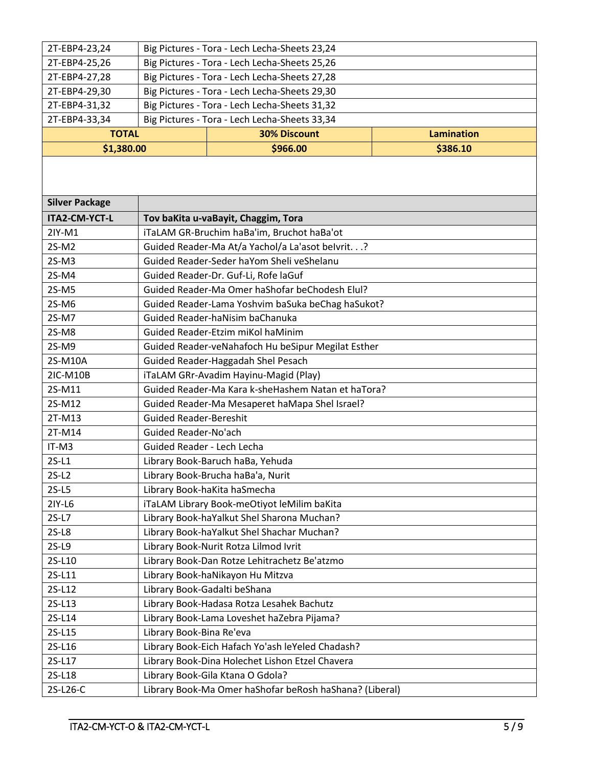| 2T-EBP4-23,24         |                                                    | Big Pictures - Tora - Lech Lecha-Sheets 23,24           |                   |  |
|-----------------------|----------------------------------------------------|---------------------------------------------------------|-------------------|--|
| 2T-EBP4-25,26         |                                                    | Big Pictures - Tora - Lech Lecha-Sheets 25,26           |                   |  |
| 2T-EBP4-27,28         | Big Pictures - Tora - Lech Lecha-Sheets 27,28      |                                                         |                   |  |
| 2T-EBP4-29,30         | Big Pictures - Tora - Lech Lecha-Sheets 29,30      |                                                         |                   |  |
| 2T-EBP4-31,32         | Big Pictures - Tora - Lech Lecha-Sheets 31,32      |                                                         |                   |  |
| 2T-EBP4-33,34         | Big Pictures - Tora - Lech Lecha-Sheets 33,34      |                                                         |                   |  |
| <b>TOTAL</b>          |                                                    | <b>30% Discount</b>                                     | <b>Lamination</b> |  |
| \$1,380.00            |                                                    | \$966.00                                                | \$386.10          |  |
|                       |                                                    |                                                         |                   |  |
| <b>Silver Package</b> |                                                    |                                                         |                   |  |
| ITA2-CM-YCT-L         |                                                    | Tov baKita u-vaBayit, Chaggim, Tora                     |                   |  |
| $2IY-M1$              |                                                    | iTaLAM GR-Bruchim haBa'im, Bruchot haBa'ot              |                   |  |
| 2S-M2                 |                                                    | Guided Reader-Ma At/a Yachol/a La'asot belvrit.?        |                   |  |
| $2S-M3$               |                                                    | Guided Reader-Seder haYom Sheli veShelanu               |                   |  |
| 2S-M4                 |                                                    | Guided Reader-Dr. Guf-Li, Rofe laGuf                    |                   |  |
| $2S-M5$               |                                                    | Guided Reader-Ma Omer haShofar beChodesh Elul?          |                   |  |
| 2S-M6                 |                                                    | Guided Reader-Lama Yoshvim baSuka beChag haSukot?       |                   |  |
| 2S-M7                 |                                                    | Guided Reader-haNisim baChanuka                         |                   |  |
| 2S-M8                 |                                                    | Guided Reader-Etzim miKol haMinim                       |                   |  |
| 2S-M9                 | Guided Reader-veNahafoch Hu beSipur Megilat Esther |                                                         |                   |  |
| 2S-M10A               | Guided Reader-Haggadah Shel Pesach                 |                                                         |                   |  |
| 2IC-M10B              | iTaLAM GRr-Avadim Hayinu-Magid (Play)              |                                                         |                   |  |
| 2S-M11                | Guided Reader-Ma Kara k-sheHashem Natan et haTora? |                                                         |                   |  |
| 2S-M12                | Guided Reader-Ma Mesaperet haMapa Shel Israel?     |                                                         |                   |  |
| 2T-M13                | <b>Guided Reader-Bereshit</b>                      |                                                         |                   |  |
| 2T-M14                | Guided Reader-No'ach                               |                                                         |                   |  |
| IT-M3                 | Guided Reader - Lech Lecha                         |                                                         |                   |  |
| $2S-L1$               |                                                    | Library Book-Baruch haBa, Yehuda                        |                   |  |
| $2S-L2$               |                                                    | Library Book-Brucha haBa'a, Nurit                       |                   |  |
| $2S-L5$               |                                                    | Library Book-haKita haSmecha                            |                   |  |
| 2IY-L6                |                                                    | iTaLAM Library Book-meOtiyot leMilim baKita             |                   |  |
| $2S-L7$               |                                                    | Library Book-haYalkut Shel Sharona Muchan?              |                   |  |
| $2S-L8$               | Library Book-haYalkut Shel Shachar Muchan?         |                                                         |                   |  |
| $2S-L9$               |                                                    | Library Book-Nurit Rotza Lilmod Ivrit                   |                   |  |
| 2S-L10                | Library Book-Dan Rotze Lehitrachetz Be'atzmo       |                                                         |                   |  |
| 2S-L11                | Library Book-haNikayon Hu Mitzva                   |                                                         |                   |  |
| 2S-L12                | Library Book-Gadalti beShana                       |                                                         |                   |  |
| 2S-L13                | Library Book-Hadasa Rotza Lesahek Bachutz          |                                                         |                   |  |
| 2S-L14                | Library Book-Lama Loveshet haZebra Pijama?         |                                                         |                   |  |
| 2S-L15                | Library Book-Bina Re'eva                           |                                                         |                   |  |
| 2S-L16                | Library Book-Eich Hafach Yo'ash leYeled Chadash?   |                                                         |                   |  |
| 2S-L17                | Library Book-Dina Holechet Lishon Etzel Chavera    |                                                         |                   |  |
| 2S-L18                | Library Book-Gila Ktana O Gdola?                   |                                                         |                   |  |
| 2S-L26-C              |                                                    | Library Book-Ma Omer haShofar beRosh haShana? (Liberal) |                   |  |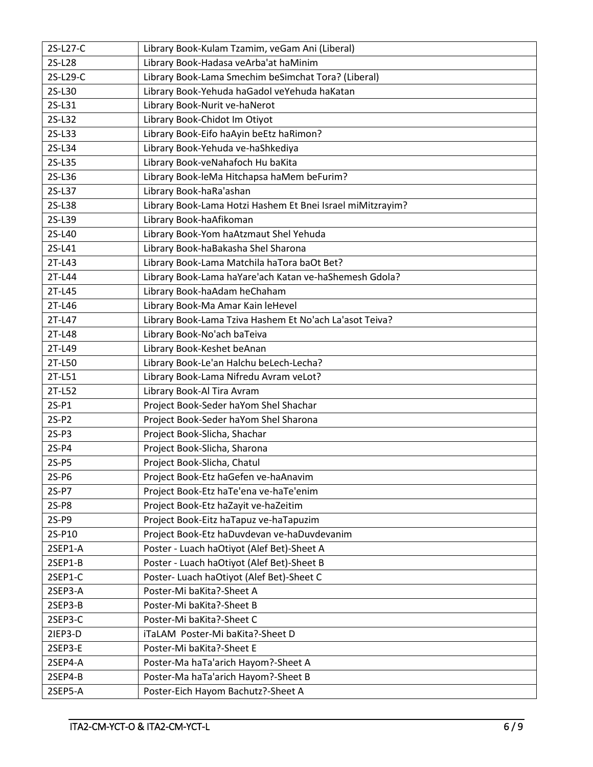| 2S-L27-C | Library Book-Kulam Tzamim, veGam Ani (Liberal)             |  |  |
|----------|------------------------------------------------------------|--|--|
| 2S-L28   | Library Book-Hadasa veArba'at haMinim                      |  |  |
| 2S-L29-C | Library Book-Lama Smechim beSimchat Tora? (Liberal)        |  |  |
| 2S-L30   | Library Book-Yehuda haGadol veYehuda haKatan               |  |  |
| 2S-L31   | Library Book-Nurit ve-haNerot                              |  |  |
| 2S-L32   | Library Book-Chidot Im Otiyot                              |  |  |
| 2S-L33   | Library Book-Eifo haAyin beEtz haRimon?                    |  |  |
| 2S-L34   | Library Book-Yehuda ve-haShkediya                          |  |  |
| 2S-L35   | Library Book-veNahafoch Hu baKita                          |  |  |
| 2S-L36   | Library Book-leMa Hitchapsa haMem beFurim?                 |  |  |
| 2S-L37   | Library Book-haRa'ashan                                    |  |  |
| 2S-L38   | Library Book-Lama Hotzi Hashem Et Bnei Israel miMitzrayim? |  |  |
| 2S-L39   | Library Book-haAfikoman                                    |  |  |
| 2S-L40   | Library Book-Yom haAtzmaut Shel Yehuda                     |  |  |
| 2S-L41   | Library Book-haBakasha Shel Sharona                        |  |  |
| 2T-L43   | Library Book-Lama Matchila haTora baOt Bet?                |  |  |
| 2T-L44   | Library Book-Lama haYare'ach Katan ve-haShemesh Gdola?     |  |  |
| 2T-L45   | Library Book-haAdam heChaham                               |  |  |
| 2T-L46   | Library Book-Ma Amar Kain leHevel                          |  |  |
| 2T-L47   | Library Book-Lama Tziva Hashem Et No'ach La'asot Teiva?    |  |  |
| 2T-L48   | Library Book-No'ach baTeiva                                |  |  |
| 2T-L49   | Library Book-Keshet beAnan                                 |  |  |
| 2T-L50   | Library Book-Le'an Halchu beLech-Lecha?                    |  |  |
| 2T-L51   | Library Book-Lama Nifredu Avram veLot?                     |  |  |
| 2T-L52   | Library Book-Al Tira Avram                                 |  |  |
| $2S-P1$  | Project Book-Seder haYom Shel Shachar                      |  |  |
| $2S-P2$  | Project Book-Seder haYom Shel Sharona                      |  |  |
| $2S-P3$  | Project Book-Slicha, Shachar                               |  |  |
| 2S-P4    | Project Book-Slicha, Sharona                               |  |  |
| $2S-P5$  | Project Book-Slicha, Chatul                                |  |  |
| $2S-PG$  | Project Book-Etz haGefen ve-haAnavim                       |  |  |
| 2S-P7    | Project Book-Etz haTe'ena ve-haTe'enim                     |  |  |
| 2S-P8    | Project Book-Etz haZayit ve-haZeitim                       |  |  |
| 2S-P9    | Project Book-Eitz haTapuz ve-haTapuzim                     |  |  |
| 2S-P10   | Project Book-Etz haDuvdevan ve-haDuvdevanim                |  |  |
| 2SEP1-A  | Poster - Luach haOtiyot (Alef Bet)-Sheet A                 |  |  |
| 2SEP1-B  | Poster - Luach haOtiyot (Alef Bet)-Sheet B                 |  |  |
| 2SEP1-C  | Poster- Luach haOtiyot (Alef Bet)-Sheet C                  |  |  |
| 2SEP3-A  | Poster-Mi baKita?-Sheet A                                  |  |  |
| 2SEP3-B  | Poster-Mi baKita?-Sheet B                                  |  |  |
| 2SEP3-C  | Poster-Mi baKita?-Sheet C                                  |  |  |
| 2IEP3-D  | iTaLAM Poster-Mi baKita?-Sheet D                           |  |  |
| 2SEP3-E  | Poster-Mi baKita?-Sheet E                                  |  |  |
| 2SEP4-A  | Poster-Ma haTa'arich Hayom?-Sheet A                        |  |  |
| 2SEP4-B  | Poster-Ma haTa'arich Hayom?-Sheet B                        |  |  |
| 2SEP5-A  | Poster-Eich Hayom Bachutz?-Sheet A                         |  |  |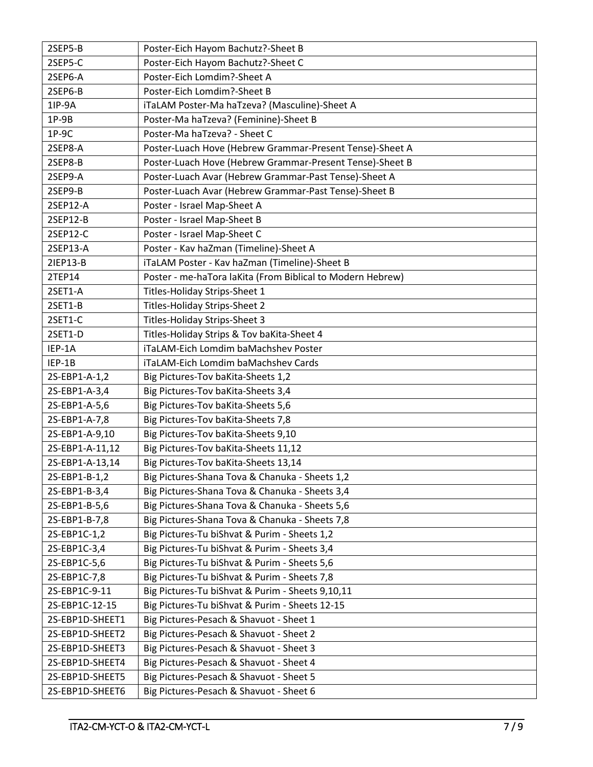| 2SEP5-B         | Poster-Eich Hayom Bachutz?-Sheet B                         |  |
|-----------------|------------------------------------------------------------|--|
| 2SEP5-C         | Poster-Eich Hayom Bachutz?-Sheet C                         |  |
| 2SEP6-A         | Poster-Eich Lomdim?-Sheet A                                |  |
| 2SEP6-B         | Poster-Eich Lomdim?-Sheet B                                |  |
| 1IP-9A          | iTaLAM Poster-Ma haTzeva? (Masculine)-Sheet A              |  |
| $1P-9B$         | Poster-Ma haTzeva? (Feminine)-Sheet B                      |  |
| $1P-9C$         | Poster-Ma haTzeva? - Sheet C                               |  |
| 2SEP8-A         | Poster-Luach Hove (Hebrew Grammar-Present Tense)-Sheet A   |  |
| 2SEP8-B         | Poster-Luach Hove (Hebrew Grammar-Present Tense)-Sheet B   |  |
| 2SEP9-A         | Poster-Luach Avar (Hebrew Grammar-Past Tense)-Sheet A      |  |
| 2SEP9-B         | Poster-Luach Avar (Hebrew Grammar-Past Tense)-Sheet B      |  |
| 2SEP12-A        | Poster - Israel Map-Sheet A                                |  |
| 2SEP12-B        | Poster - Israel Map-Sheet B                                |  |
| 2SEP12-C        | Poster - Israel Map-Sheet C                                |  |
| 2SEP13-A        | Poster - Kav haZman (Timeline)-Sheet A                     |  |
| 21EP13-B        | iTaLAM Poster - Kav haZman (Timeline)-Sheet B              |  |
| 2TEP14          | Poster - me-haTora laKita (From Biblical to Modern Hebrew) |  |
| 2SET1-A         | Titles-Holiday Strips-Sheet 1                              |  |
| 2SET1-B         | Titles-Holiday Strips-Sheet 2                              |  |
| 2SET1-C         | Titles-Holiday Strips-Sheet 3                              |  |
| 2SET1-D         | Titles-Holiday Strips & Tov baKita-Sheet 4                 |  |
| IEP-1A          | iTaLAM-Eich Lomdim baMachshev Poster                       |  |
| IEP-1B          | iTaLAM-Eich Lomdim baMachshev Cards                        |  |
| 2S-EBP1-A-1,2   | Big Pictures-Tov baKita-Sheets 1,2                         |  |
| 2S-EBP1-A-3,4   | Big Pictures-Tov baKita-Sheets 3,4                         |  |
| 2S-EBP1-A-5,6   | Big Pictures-Tov baKita-Sheets 5,6                         |  |
| 2S-EBP1-A-7,8   | Big Pictures-Tov baKita-Sheets 7,8                         |  |
| 2S-EBP1-A-9,10  | Big Pictures-Tov baKita-Sheets 9,10                        |  |
| 2S-EBP1-A-11,12 | Big Pictures-Tov baKita-Sheets 11,12                       |  |
| 2S-EBP1-A-13,14 | Big Pictures-Tov baKita-Sheets 13,14                       |  |
| 2S-EBP1-B-1,2   | Big Pictures-Shana Tova & Chanuka - Sheets 1,2             |  |
| 2S-EBP1-B-3,4   | Big Pictures-Shana Tova & Chanuka - Sheets 3,4             |  |
| 2S-EBP1-B-5,6   | Big Pictures-Shana Tova & Chanuka - Sheets 5,6             |  |
| 2S-EBP1-B-7,8   | Big Pictures-Shana Tova & Chanuka - Sheets 7,8             |  |
| 2S-EBP1C-1,2    | Big Pictures-Tu biShvat & Purim - Sheets 1,2               |  |
| 2S-EBP1C-3,4    | Big Pictures-Tu biShvat & Purim - Sheets 3,4               |  |
| 2S-EBP1C-5,6    | Big Pictures-Tu biShvat & Purim - Sheets 5,6               |  |
| 2S-EBP1C-7,8    | Big Pictures-Tu biShvat & Purim - Sheets 7,8               |  |
| 2S-EBP1C-9-11   | Big Pictures-Tu biShvat & Purim - Sheets 9,10,11           |  |
| 2S-EBP1C-12-15  | Big Pictures-Tu biShvat & Purim - Sheets 12-15             |  |
| 2S-EBP1D-SHEET1 | Big Pictures-Pesach & Shavuot - Sheet 1                    |  |
| 2S-EBP1D-SHEET2 | Big Pictures-Pesach & Shavuot - Sheet 2                    |  |
| 2S-EBP1D-SHEET3 | Big Pictures-Pesach & Shavuot - Sheet 3                    |  |
| 2S-EBP1D-SHEET4 | Big Pictures-Pesach & Shavuot - Sheet 4                    |  |
| 2S-EBP1D-SHEET5 | Big Pictures-Pesach & Shavuot - Sheet 5                    |  |
| 2S-EBP1D-SHEET6 | Big Pictures-Pesach & Shavuot - Sheet 6                    |  |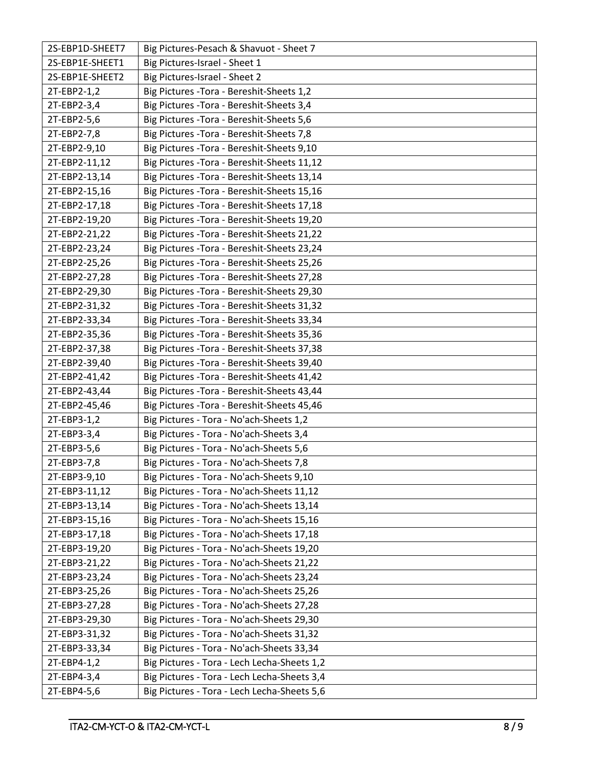| 2S-EBP1D-SHEET7 | Big Pictures-Pesach & Shavuot - Sheet 7     |
|-----------------|---------------------------------------------|
| 2S-EBP1E-SHEET1 | Big Pictures-Israel - Sheet 1               |
| 2S-EBP1E-SHEET2 | Big Pictures-Israel - Sheet 2               |
| 2T-EBP2-1,2     | Big Pictures - Tora - Bereshit-Sheets 1,2   |
| 2T-EBP2-3,4     | Big Pictures - Tora - Bereshit-Sheets 3,4   |
| 2T-EBP2-5,6     | Big Pictures - Tora - Bereshit-Sheets 5,6   |
| 2T-EBP2-7,8     | Big Pictures - Tora - Bereshit-Sheets 7,8   |
| 2T-EBP2-9,10    | Big Pictures - Tora - Bereshit-Sheets 9,10  |
| 2T-EBP2-11,12   | Big Pictures - Tora - Bereshit-Sheets 11,12 |
| 2T-EBP2-13,14   | Big Pictures - Tora - Bereshit-Sheets 13,14 |
| 2T-EBP2-15,16   | Big Pictures - Tora - Bereshit-Sheets 15,16 |
| 2T-EBP2-17,18   | Big Pictures - Tora - Bereshit-Sheets 17,18 |
| 2T-EBP2-19,20   | Big Pictures - Tora - Bereshit-Sheets 19,20 |
| 2T-EBP2-21,22   | Big Pictures - Tora - Bereshit-Sheets 21,22 |
| 2T-EBP2-23,24   | Big Pictures - Tora - Bereshit-Sheets 23,24 |
| 2T-EBP2-25,26   | Big Pictures - Tora - Bereshit-Sheets 25,26 |
| 2T-EBP2-27,28   | Big Pictures - Tora - Bereshit-Sheets 27,28 |
| 2T-EBP2-29,30   | Big Pictures - Tora - Bereshit-Sheets 29,30 |
| 2T-EBP2-31,32   | Big Pictures - Tora - Bereshit-Sheets 31,32 |
| 2T-EBP2-33,34   | Big Pictures - Tora - Bereshit-Sheets 33,34 |
| 2T-EBP2-35,36   | Big Pictures - Tora - Bereshit-Sheets 35,36 |
| 2T-EBP2-37,38   | Big Pictures - Tora - Bereshit-Sheets 37,38 |
| 2T-EBP2-39,40   | Big Pictures - Tora - Bereshit-Sheets 39,40 |
|                 |                                             |
| 2T-EBP2-41,42   | Big Pictures - Tora - Bereshit-Sheets 41,42 |
| 2T-EBP2-43,44   | Big Pictures - Tora - Bereshit-Sheets 43,44 |
| 2T-EBP2-45,46   | Big Pictures - Tora - Bereshit-Sheets 45,46 |
| 2T-EBP3-1,2     | Big Pictures - Tora - No'ach-Sheets 1,2     |
| 2T-EBP3-3,4     | Big Pictures - Tora - No'ach-Sheets 3,4     |
| 2T-EBP3-5,6     | Big Pictures - Tora - No'ach-Sheets 5,6     |
| 2T-EBP3-7,8     | Big Pictures - Tora - No'ach-Sheets 7,8     |
| 2T-EBP3-9,10    | Big Pictures - Tora - No'ach-Sheets 9,10    |
| 2T-EBP3-11,12   | Big Pictures - Tora - No'ach-Sheets 11,12   |
| 2T-EBP3-13,14   | Big Pictures - Tora - No'ach-Sheets 13,14   |
| 2T-EBP3-15,16   | Big Pictures - Tora - No'ach-Sheets 15,16   |
| 2T-EBP3-17,18   | Big Pictures - Tora - No'ach-Sheets 17,18   |
| 2T-EBP3-19,20   | Big Pictures - Tora - No'ach-Sheets 19,20   |
| 2T-EBP3-21,22   | Big Pictures - Tora - No'ach-Sheets 21,22   |
| 2T-EBP3-23,24   | Big Pictures - Tora - No'ach-Sheets 23,24   |
| 2T-EBP3-25,26   | Big Pictures - Tora - No'ach-Sheets 25,26   |
| 2T-EBP3-27,28   | Big Pictures - Tora - No'ach-Sheets 27,28   |
| 2T-EBP3-29,30   | Big Pictures - Tora - No'ach-Sheets 29,30   |
| 2T-EBP3-31,32   | Big Pictures - Tora - No'ach-Sheets 31,32   |
| 2T-EBP3-33,34   | Big Pictures - Tora - No'ach-Sheets 33,34   |
| 2T-EBP4-1,2     | Big Pictures - Tora - Lech Lecha-Sheets 1,2 |
| 2T-EBP4-3,4     | Big Pictures - Tora - Lech Lecha-Sheets 3,4 |